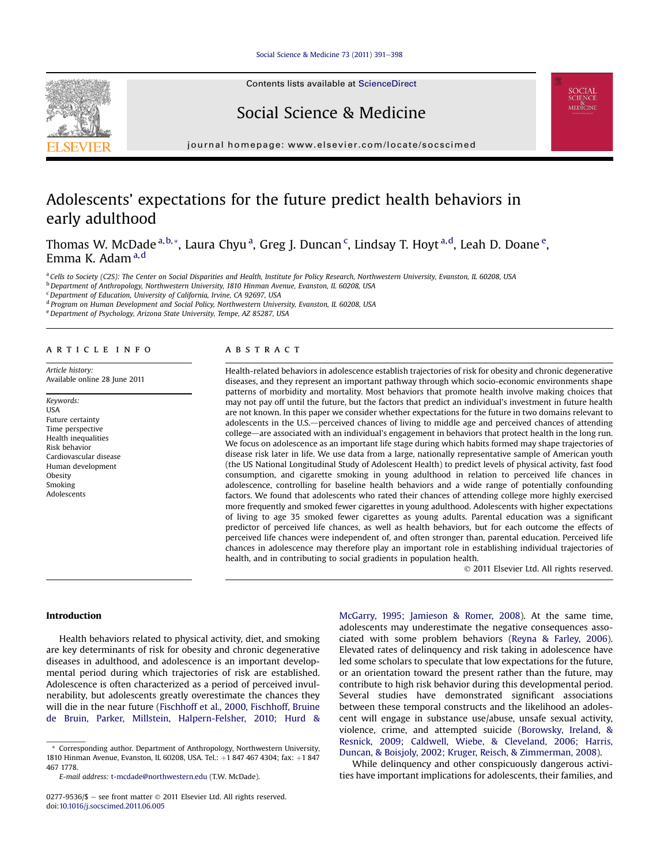#### [Social Science & Medicine 73 \(2011\) 391](http://dx.doi.org/10.1016/j.socscimed.2011.06.005)-[398](http://dx.doi.org/10.1016/j.socscimed.2011.06.005)



Contents lists available at [ScienceDirect](www.sciencedirect.com/science/journal/02779536)

### Social Science & Medicine



journal homepage: [www.elsevier.com/locate/socscimed](http://www.elsevier.com/locate/socscimed)

## Adolescents' expectations for the future predict health behaviors in early adulthood

Thomas W. McDade <sup>a,b,</sup>\*, Laura Chyu <sup>a</sup>, Greg J. Duncan <sup>c</sup>, Lindsay T. Hoyt <sup>a,d</sup>, Leah D. Doane <sup>e</sup>, Emma K. Adam<sup>a,d</sup>

a Cells to Society (C2S): The Center on Social Disparities and Health, Institute for Policy Research, Northwestern University, Evanston, IL 60208, USA

<sup>b</sup> Department of Anthropology, Northwestern University, 1810 Hinman Avenue, Evanston, IL 60208, USA

 $c$  Department of Education, University of California, Irvine, CA 92697, USA

<sup>d</sup> Program on Human Development and Social Policy, Northwestern University, Evanston, IL 60208, USA

e Department of Psychology, Arizona State University, Tempe, AZ 85287, USA

#### article info

Article history: Available online 28 June 2011

Keywords: **IISA** Future certainty Time perspective Health inequalities Risk behavior Cardiovascular disease Human development **Obesity** Smoking Adolescents

#### ABSTRACT

Health-related behaviors in adolescence establish trajectories of risk for obesity and chronic degenerative diseases, and they represent an important pathway through which socio-economic environments shape patterns of morbidity and mortality. Most behaviors that promote health involve making choices that may not pay off until the future, but the factors that predict an individual's investment in future health are not known. In this paper we consider whether expectations for the future in two domains relevant to adolescents in the U.S.—perceived chances of living to middle age and perceived chances of attending college—are associated with an individual's engagement in behaviors that protect health in the long run. We focus on adolescence as an important life stage during which habits formed may shape trajectories of disease risk later in life. We use data from a large, nationally representative sample of American youth (the US National Longitudinal Study of Adolescent Health) to predict levels of physical activity, fast food consumption, and cigarette smoking in young adulthood in relation to perceived life chances in adolescence, controlling for baseline health behaviors and a wide range of potentially confounding factors. We found that adolescents who rated their chances of attending college more highly exercised more frequently and smoked fewer cigarettes in young adulthood. Adolescents with higher expectations of living to age 35 smoked fewer cigarettes as young adults. Parental education was a significant predictor of perceived life chances, as well as health behaviors, but for each outcome the effects of perceived life chances were independent of, and often stronger than, parental education. Perceived life chances in adolescence may therefore play an important role in establishing individual trajectories of health, and in contributing to social gradients in population health.

2011 Elsevier Ltd. All rights reserved.

#### Introduction

Health behaviors related to physical activity, diet, and smoking are key determinants of risk for obesity and chronic degenerative diseases in adulthood, and adolescence is an important developmental period during which trajectories of risk are established. Adolescence is often characterized as a period of perceived invulnerability, but adolescents greatly overestimate the chances they will die in the near future (Fischhoff et al., 2000, Fischhoff, Bruine de Bruin, Parker, Millstein, Halpern-Felsher, 2010; Hurd & McGarry, 1995; Jamieson & Romer, 2008). At the same time, adolescents may underestimate the negative consequences associated with some problem behaviors (Reyna & Farley, 2006). Elevated rates of delinquency and risk taking in adolescence have led some scholars to speculate that low expectations for the future, or an orientation toward the present rather than the future, may contribute to high risk behavior during this developmental period. Several studies have demonstrated significant associations between these temporal constructs and the likelihood an adolescent will engage in substance use/abuse, unsafe sexual activity, violence, crime, and attempted suicide (Borowsky, Ireland, & Resnick, 2009; Caldwell, Wiebe, & Cleveland, 2006; Harris, Duncan, & Boisjoly, 2002; Kruger, Reisch, & Zimmerman, 2008).

While delinquency and other conspicuously dangerous activities have important implications for adolescents, their families, and

<sup>\*</sup> Corresponding author. Department of Anthropology, Northwestern University, 1810 Hinman Avenue, Evanston, IL 60208, USA. Tel.: +1 847 467 4304; fax: +1 847 467 1778.

E-mail address: [t-mcdade@northwestern.edu](mailto:t-mcdade@northwestern.edu) (T.W. McDade).

<sup>0277-9536/</sup> $$ - see$  front matter  $@$  2011 Elsevier Ltd. All rights reserved. doi[:10.1016/j.socscimed.2011.06.005](http://dx.doi.org/10.1016/j.socscimed.2011.06.005)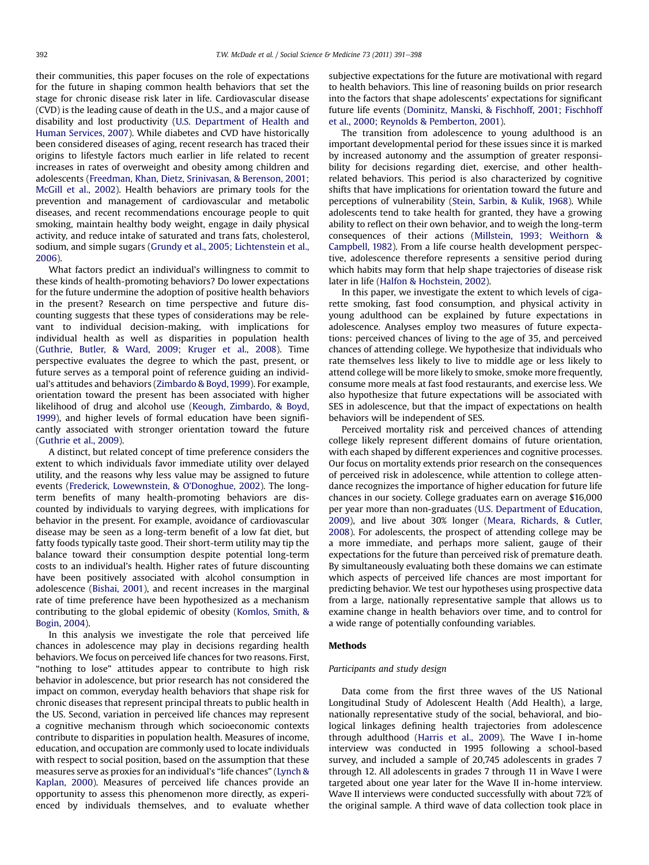their communities, this paper focuses on the role of expectations for the future in shaping common health behaviors that set the stage for chronic disease risk later in life. Cardiovascular disease (CVD) is the leading cause of death in the U.S., and a major cause of disability and lost productivity (U.S. Department of Health and Human Services, 2007). While diabetes and CVD have historically been considered diseases of aging, recent research has traced their origins to lifestyle factors much earlier in life related to recent increases in rates of overweight and obesity among children and adolescents (Freedman, Khan, Dietz, Srinivasan, & Berenson, 2001; McGill et al., 2002). Health behaviors are primary tools for the prevention and management of cardiovascular and metabolic diseases, and recent recommendations encourage people to quit smoking, maintain healthy body weight, engage in daily physical activity, and reduce intake of saturated and trans fats, cholesterol, sodium, and simple sugars (Grundy et al., 2005; Lichtenstein et al., 2006).

What factors predict an individual's willingness to commit to these kinds of health-promoting behaviors? Do lower expectations for the future undermine the adoption of positive health behaviors in the present? Research on time perspective and future discounting suggests that these types of considerations may be relevant to individual decision-making, with implications for individual health as well as disparities in population health (Guthrie, Butler, & Ward, 2009; Kruger et al., 2008). Time perspective evaluates the degree to which the past, present, or future serves as a temporal point of reference guiding an individual's attitudes and behaviors (Zimbardo & Boyd, 1999). For example, orientation toward the present has been associated with higher likelihood of drug and alcohol use (Keough, Zimbardo, & Boyd, 1999), and higher levels of formal education have been significantly associated with stronger orientation toward the future (Guthrie et al., 2009).

A distinct, but related concept of time preference considers the extent to which individuals favor immediate utility over delayed utility, and the reasons why less value may be assigned to future events (Frederick, Lowewnstein, & O'Donoghue, 2002). The longterm benefits of many health-promoting behaviors are discounted by individuals to varying degrees, with implications for behavior in the present. For example, avoidance of cardiovascular disease may be seen as a long-term benefit of a low fat diet, but fatty foods typically taste good. Their short-term utility may tip the balance toward their consumption despite potential long-term costs to an individual's health. Higher rates of future discounting have been positively associated with alcohol consumption in adolescence (Bishai, 2001), and recent increases in the marginal rate of time preference have been hypothesized as a mechanism contributing to the global epidemic of obesity (Komlos, Smith, & Bogin, 2004).

In this analysis we investigate the role that perceived life chances in adolescence may play in decisions regarding health behaviors. We focus on perceived life chances for two reasons. First, "nothing to lose" attitudes appear to contribute to high risk behavior in adolescence, but prior research has not considered the impact on common, everyday health behaviors that shape risk for chronic diseases that represent principal threats to public health in the US. Second, variation in perceived life chances may represent a cognitive mechanism through which socioeconomic contexts contribute to disparities in population health. Measures of income, education, and occupation are commonly used to locate individuals with respect to social position, based on the assumption that these measures serve as proxies for an individual's "life chances" (Lynch & Kaplan, 2000). Measures of perceived life chances provide an opportunity to assess this phenomenon more directly, as experienced by individuals themselves, and to evaluate whether subjective expectations for the future are motivational with regard to health behaviors. This line of reasoning builds on prior research into the factors that shape adolescents' expectations for significant future life events (Dominitz, Manski, & Fischhoff, 2001; Fischhoff et al., 2000; Reynolds & Pemberton, 2001).

The transition from adolescence to young adulthood is an important developmental period for these issues since it is marked by increased autonomy and the assumption of greater responsibility for decisions regarding diet, exercise, and other healthrelated behaviors. This period is also characterized by cognitive shifts that have implications for orientation toward the future and perceptions of vulnerability (Stein, Sarbin, & Kulik, 1968). While adolescents tend to take health for granted, they have a growing ability to reflect on their own behavior, and to weigh the long-term consequences of their actions (Millstein, 1993; Weithorn & Campbell, 1982). From a life course health development perspective, adolescence therefore represents a sensitive period during which habits may form that help shape trajectories of disease risk later in life (Halfon & Hochstein, 2002).

In this paper, we investigate the extent to which levels of cigarette smoking, fast food consumption, and physical activity in young adulthood can be explained by future expectations in adolescence. Analyses employ two measures of future expectations: perceived chances of living to the age of 35, and perceived chances of attending college. We hypothesize that individuals who rate themselves less likely to live to middle age or less likely to attend college will be more likely to smoke, smoke more frequently, consume more meals at fast food restaurants, and exercise less. We also hypothesize that future expectations will be associated with SES in adolescence, but that the impact of expectations on health behaviors will be independent of SES.

Perceived mortality risk and perceived chances of attending college likely represent different domains of future orientation, with each shaped by different experiences and cognitive processes. Our focus on mortality extends prior research on the consequences of perceived risk in adolescence, while attention to college attendance recognizes the importance of higher education for future life chances in our society. College graduates earn on average \$16,000 per year more than non-graduates (U.S. Department of Education, 2009), and live about 30% longer (Meara, Richards, & Cutler, 2008). For adolescents, the prospect of attending college may be a more immediate, and perhaps more salient, gauge of their expectations for the future than perceived risk of premature death. By simultaneously evaluating both these domains we can estimate which aspects of perceived life chances are most important for predicting behavior. We test our hypotheses using prospective data from a large, nationally representative sample that allows us to examine change in health behaviors over time, and to control for a wide range of potentially confounding variables.

#### Methods

#### Participants and study design

Data come from the first three waves of the US National Longitudinal Study of Adolescent Health (Add Health), a large, nationally representative study of the social, behavioral, and biological linkages defining health trajectories from adolescence through adulthood (Harris et al., 2009). The Wave I in-home interview was conducted in 1995 following a school-based survey, and included a sample of 20,745 adolescents in grades 7 through 12. All adolescents in grades 7 through 11 in Wave I were targeted about one year later for the Wave II in-home interview. Wave II interviews were conducted successfully with about 72% of the original sample. A third wave of data collection took place in